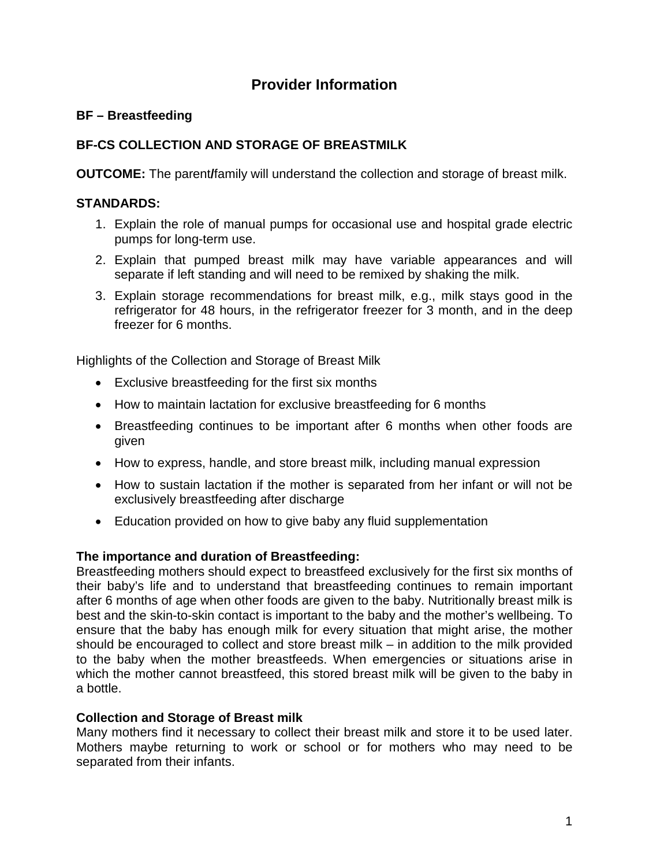# **Provider Information**

# **BF – Breastfeeding**

# **BF-CS COLLECTION AND STORAGE OF BREASTMILK**

**OUTCOME:** The parent *family will understand the collection and storage of breast milk.* 

### **STANDARDS:**

- 1. Explain the role of manual pumps for occasional use and hospital grade electric pumps for long-term use.
- 2. Explain that pumped breast milk may have variable appearances and will separate if left standing and will need to be remixed by shaking the milk.
- 3. Explain storage recommendations for breast milk, e.g., milk stays good in the refrigerator for 48 hours, in the refrigerator freezer for 3 month, and in the deep freezer for 6 months.

Highlights of the Collection and Storage of Breast Milk

- Exclusive breastfeeding for the first six months
- How to maintain lactation for exclusive breastfeeding for 6 months
- Breastfeeding continues to be important after 6 months when other foods are given
- How to express, handle, and store breast milk, including manual expression
- How to sustain lactation if the mother is separated from her infant or will not be exclusively breastfeeding after discharge
- Education provided on how to give baby any fluid supplementation

#### **The importance and duration of Breastfeeding:**

Breastfeeding mothers should expect to breastfeed exclusively for the first six months of their baby's life and to understand that breastfeeding continues to remain important after 6 months of age when other foods are given to the baby. Nutritionally breast milk is best and the skin-to-skin contact is important to the baby and the mother's wellbeing. To ensure that the baby has enough milk for every situation that might arise, the mother should be encouraged to collect and store breast milk – in addition to the milk provided to the baby when the mother breastfeeds. When emergencies or situations arise in which the mother cannot breastfeed, this stored breast milk will be given to the baby in a bottle.

### **Collection and Storage of Breast milk**

Many mothers find it necessary to collect their breast milk and store it to be used later. Mothers maybe returning to work or school or for mothers who may need to be separated from their infants.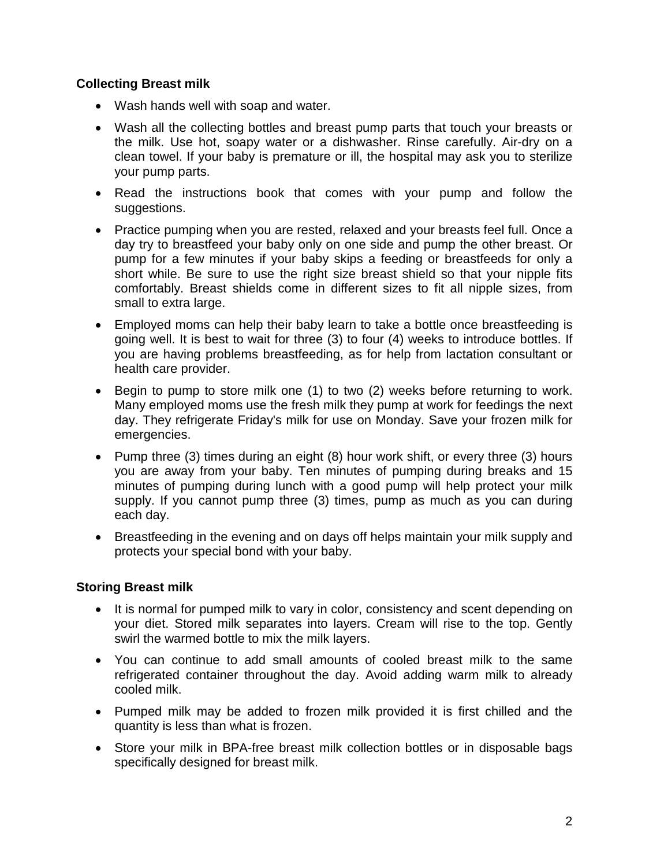## **Collecting Breast milk**

- Wash hands well with soap and water.
- Wash all the collecting bottles and breast pump parts that touch your breasts or the milk. Use hot, soapy water or a dishwasher. Rinse carefully. Air-dry on a clean towel. If your baby is premature or ill, the hospital may ask you to sterilize your pump parts.
- Read the instructions book that comes with your pump and follow the suggestions.
- Practice pumping when you are rested, relaxed and your breasts feel full. Once a day try to breastfeed your baby only on one side and pump the other breast. Or pump for a few minutes if your baby skips a feeding or breastfeeds for only a short while. Be sure to use the right size breast shield so that your nipple fits comfortably. Breast shields come in different sizes to fit all nipple sizes, from small to extra large.
- Employed moms can help their baby learn to take a bottle once breastfeeding is going well. It is best to wait for three (3) to four (4) weeks to introduce bottles. If you are having problems breastfeeding, as for help from lactation consultant or health care provider.
- Begin to pump to store milk one (1) to two (2) weeks before returning to work. Many employed moms use the fresh milk they pump at work for feedings the next day. They refrigerate Friday's milk for use on Monday. Save your frozen milk for emergencies.
- Pump three (3) times during an eight (8) hour work shift, or every three (3) hours you are away from your baby. Ten minutes of pumping during breaks and 15 minutes of pumping during lunch with a good pump will help protect your milk supply. If you cannot pump three (3) times, pump as much as you can during each day.
- Breastfeeding in the evening and on days off helps maintain your milk supply and protects your special bond with your baby.

### **Storing Breast milk**

- It is normal for pumped milk to vary in color, consistency and scent depending on your diet. Stored milk separates into layers. Cream will rise to the top. Gently swirl the warmed bottle to mix the milk layers.
- You can continue to add small amounts of cooled breast milk to the same refrigerated container throughout the day. Avoid adding warm milk to already cooled milk.
- Pumped milk may be added to frozen milk provided it is first chilled and the quantity is less than what is frozen.
- Store your milk in BPA-free breast milk collection bottles or in disposable bags specifically designed for breast milk.